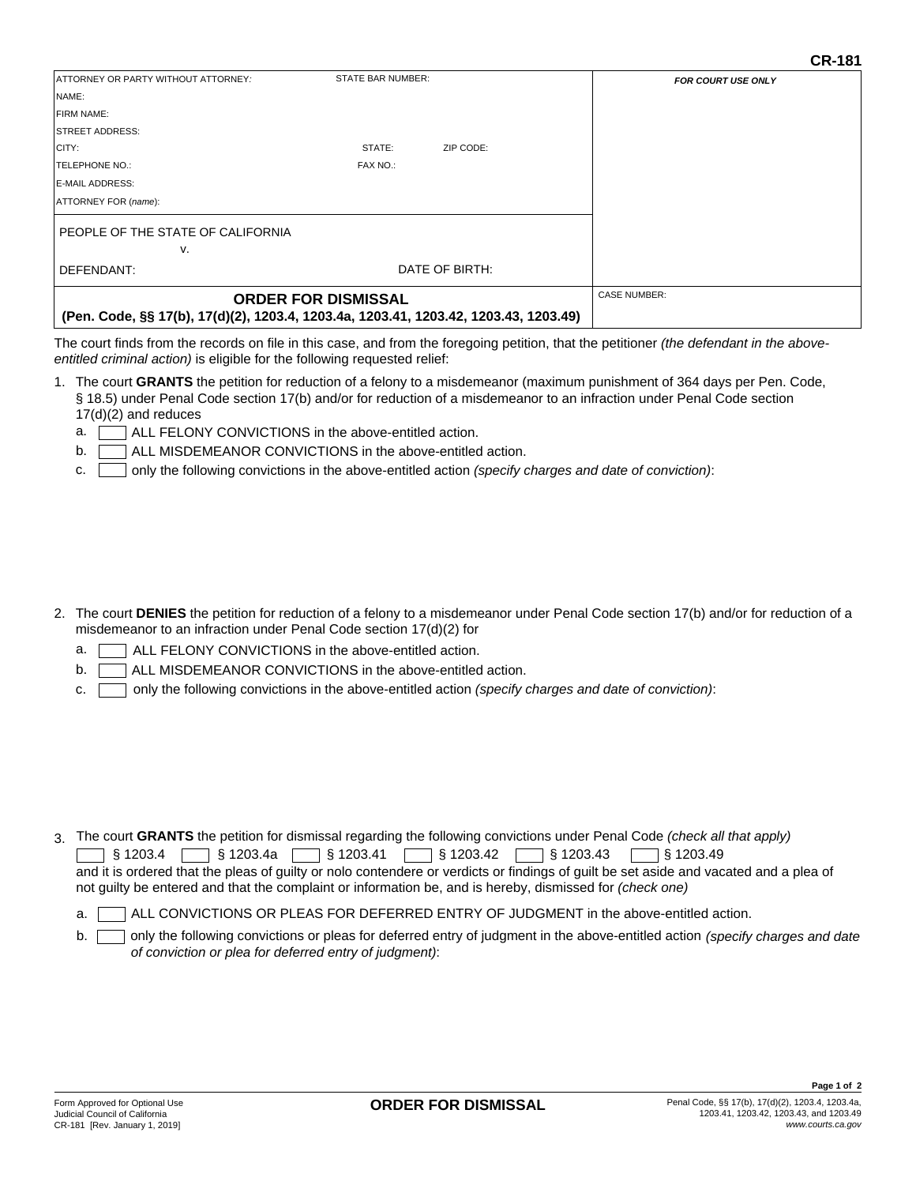| <b>ATTORNEY OR PARTY WITHOUT ATTORNEY:</b>                                                                         | STATE BAR NUMBER: |           | <b>FOR COURT USE ONLY</b> |
|--------------------------------------------------------------------------------------------------------------------|-------------------|-----------|---------------------------|
| NAME:                                                                                                              |                   |           |                           |
| <b>IFIRM NAME:</b>                                                                                                 |                   |           |                           |
| <b>STREET ADDRESS:</b>                                                                                             |                   |           |                           |
| CITY:                                                                                                              | STATE:            | ZIP CODE: |                           |
| <b>TELEPHONE NO.:</b>                                                                                              | FAX NO.:          |           |                           |
| <b>E-MAIL ADDRESS:</b>                                                                                             |                   |           |                           |
| <b>ATTORNEY FOR (name):</b>                                                                                        |                   |           |                           |
| PEOPLE OF THE STATE OF CALIFORNIA                                                                                  |                   |           |                           |
| v.                                                                                                                 |                   |           |                           |
| DEFENDANT:                                                                                                         | DATE OF BIRTH:    |           |                           |
| <b>ORDER FOR DISMISSAL</b><br>(Pen. Code, §§ 17(b), 17(d)(2), 1203.4, 1203.4a, 1203.41, 1203.42, 1203.43, 1203.49) |                   |           | <b>CASE NUMBER:</b>       |

The court finds from the records on file in this case, and from the foregoing petition, that the petitioner *(the defendant in the aboveentitled criminal action)* is eligible for the following requested relief:

- 1. The court **GRANTS** the petition for reduction of a felony to a misdemeanor (maximum punishment of 364 days per Pen. Code, § 18.5) under Penal Code section 17(b) and/or for reduction of a misdemeanor to an infraction under Penal Code section 17(d)(2) and reduces
	- ALL FELONY CONVICTIONS in the above-entitled action. a.
	- ALL MISDEMEANOR CONVICTIONS in the above-entitled action. b.
	- only the following convictions in the above-entitled action *(specify charges and date of conviction)*: c.

- 2. The court **DENIES** the petition for reduction of a felony to a misdemeanor under Penal Code section 17(b) and/or for reduction of a misdemeanor to an infraction under Penal Code section 17(d)(2) for
	- ALL FELONY CONVICTIONS in the above-entitled action. a.
	- ALL MISDEMEANOR CONVICTIONS in the above-entitled action. b.
	- only the following convictions in the above-entitled action *(specify charges and date of conviction)*: c.

3. The court **GRANTS** the petition for dismissal regarding the following convictions under Penal Code *(check all that apply)*

§ 1203.4 § 1203.4a § 1203.41 § 1203.42 § 1203.43  $\overline{\phantom{0}}$  \§ 1203.49 § 1203.42

and it is ordered that the pleas of guilty or nolo contendere or verdicts or findings of guilt be set aside and vacated and a plea of not guilty be entered and that the complaint or information be, and is hereby, dismissed for *(check one)*

ALL CONVICTIONS OR PLEAS FOR DEFERRED ENTRY OF JUDGMENT in the above-entitled action. a.

only the following convictions or pleas for deferred entry of judgment in the above-entitled action  *(specify charges and date of conviction or plea for deferred entry of judgment)*: b.

**CR-181**